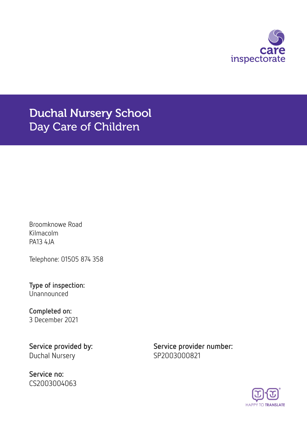

Duchal Nursery School Day Care of Children

Broomknowe Road Kilmacolm PA13 4JA

Telephone: 01505 874 358

**Type of inspection:** Unannounced

**Completed on:** 3 December 2021

Duchal Nursery SP2003000821

**Service no:** CS2003004063

**Service provided by: Service provider number:**

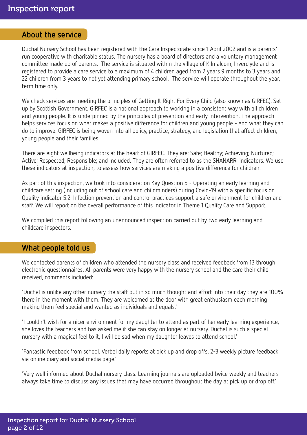## **About the service**

Duchal Nursery School has been registered with the Care Inspectorate since 1 April 2002 and is a parents' run cooperative with charitable status. The nursery has a board of directors and a voluntary management committee made up of parents. The service is situated within the village of Kilmalcom, Inverclyde and is registered to provide a care service to a maximum of 4 children aged from 2 years 9 months to 3 years and 22 children from 3 years to not yet attending primary school. The service will operate throughout the year, term time only.

We check services are meeting the principles of Getting It Right For Every Child (also known as GIRFEC). Set up by Scottish Government, GIRFEC is a national approach to working in a consistent way with all children and young people. It is underpinned by the principles of prevention and early intervention. The approach helps services focus on what makes a positive difference for children and young people - and what they can do to improve. GIRFEC is being woven into all policy, practice, strategy, and legislation that affect children, young people and their families.

There are eight wellbeing indicators at the heart of GIRFEC. They are: Safe; Healthy; Achieving; Nurtured; Active; Respected; Responsible; and Included. They are often referred to as the SHANARRI indicators. We use these indicators at inspection, to assess how services are making a positive difference for children.

As part of this inspection, we took into consideration Key Question 5 - Operating an early learning and childcare setting (including out of school care and childminders) during Covid-19 with a specific focus on Quality indicator 5.2: Infection prevention and control practices support a safe environment for children and staff. We will report on the overall performance of this indicator in Theme 1 Quality Care and Support.

We compiled this report following an unannounced inspection carried out by two early learning and childcare inspectors.

## **What people told us**

We contacted parents of children who attended the nursery class and received feedback from 13 through electronic questionnaires. All parents were very happy with the nursery school and the care their child received, comments included:

'Duchal is unlike any other nursery the staff put in so much thought and effort into their day they are 100% there in the moment with them. They are welcomed at the door with great enthusiasm each morning making them feel special and wanted as individuals and equals.'

'I couldn't wish for a nicer environment for my daughter to attend as part of her early learning experience, she loves the teachers and has asked me if she can stay on longer at nursery. Duchal is such a special nursery with a magical feel to it, I will be sad when my daughter leaves to attend school.'

'Fantastic feedback from school. Verbal daily reports at pick up and drop offs, 2-3 weekly picture feedback via online diary and social media page.'

'Very well informed about Duchal nursery class. Learning journals are uploaded twice weekly and teachers always take time to discuss any issues that may have occurred throughout the day at pick up or drop off.'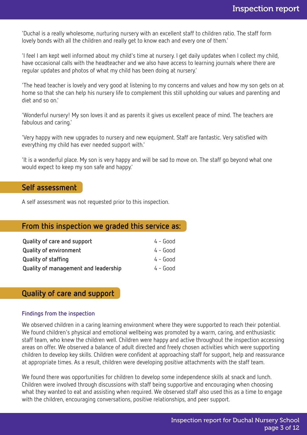'Duchal is a really wholesome, nurturing nursery with an excellent staff to children ratio. The staff form lovely bonds with all the children and really get to know each and every one of them.'

'I feel I am kept well informed about my child's time at nursery. I get daily updates when I collect my child, have occasional calls with the headteacher and we also have access to learning journals where there are regular updates and photos of what my child has been doing at nursery.'

'The head teacher is lovely and very good at listening to my concerns and values and how my son gets on at home so that she can help his nursery life to complement this still upholding our values and parenting and diet and so on.'

'Wonderful nursery! My son loves it and as parents it gives us excellent peace of mind. The teachers are fabulous and caring.'

'Very happy with new upgrades to nursery and new equipment. Staff are fantastic. Very satisfied with everything my child has ever needed support with.'

'It is a wonderful place. My son is very happy and will be sad to move on. The staff go beyond what one would expect to keep my son safe and happy.'

### **Self assessment**

A self assessment was not requested prior to this inspection.

## **From this inspection we graded this service as:**

| Quality of care and support          | $4 - Good$ |
|--------------------------------------|------------|
| <b>Quality of environment</b>        | $4 - Good$ |
| <b>Quality of staffing</b>           | $4 - Good$ |
| Quality of management and leadership | $4 - Good$ |

**Quality of care and support**

#### **Findings from the inspection**

We observed children in a caring learning environment where they were supported to reach their potential. We found children's physical and emotional wellbeing was promoted by a warm, caring, and enthusiastic staff team, who knew the children well. Children were happy and active throughout the inspection accessing areas on offer. We observed a balance of adult directed and freely chosen activities which were supporting children to develop key skills. Children were confident at approaching staff for support, help and reassurance at appropriate times. As a result, children were developing positive attachments with the staff team.

We found there was opportunities for children to develop some independence skills at snack and lunch. Children were involved through discussions with staff being supportive and encouraging when choosing what they wanted to eat and assisting when required. We observed staff also used this as a time to engage with the children, encouraging conversations, positive relationships, and peer support.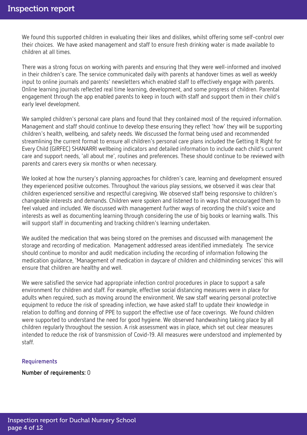We found this supported children in evaluating their likes and dislikes, whilst offering some self-control over their choices. We have asked management and staff to ensure fresh drinking water is made available to children at all times.

There was a strong focus on working with parents and ensuring that they were well-informed and involved in their children's care. The service communicated daily with parents at handover times as well as weekly input to online journals and parents' newsletters which enabled staff to effectively engage with parents. Online learning journals reflected real time learning, development, and some progress of children. Parental engagement through the app enabled parents to keep in touch with staff and support them in their child's early level development.

We sampled children's personal care plans and found that they contained most of the required information. Management and staff should continue to develop these ensuring they reflect 'how' they will be supporting children's health, wellbeing, and safety needs. We discussed the format being used and recommended streamlining the current format to ensure all children's personal care plans included the Getting It Right for Every Child (GIRFEC) SHANARRI wellbeing indicators and detailed information to include each child's current care and support needs, 'all about me', routines and preferences. These should continue to be reviewed with parents and carers every six months or when necessary.

We looked at how the nursery's planning approaches for children's care, learning and development ensured they experienced positive outcomes. Throughout the various play sessions, we observed it was clear that children experienced sensitive and respectful caregiving. We observed staff being responsive to children's changeable interests and demands. Children were spoken and listened to in ways that encouraged them to feel valued and included. We discussed with management further ways of recording the child's voice and interests as well as documenting learning through considering the use of big books or learning walls. This will support staff in documenting and tracking children's learning undertaken.

We audited the medication that was being stored on the premises and discussed with management the storage and recording of medication. Management addressed areas identified immediately. The service should continue to monitor and audit medication including the recording of information following the medication guidance, 'Management of medication in daycare of children and childminding services' this will ensure that children are healthy and well.

We were satisfied the service had appropriate infection control procedures in place to support a safe environment for children and staff. For example, effective social distancing measures were in place for adults when required, such as moving around the environment. We saw staff wearing personal protective equipment to reduce the risk of spreading infection, we have asked staff to update their knowledge in relation to doffing and donning of PPE to support the effective use of face coverings. We found children were supported to understand the need for good hygiene. We observed handwashing taking place by all children regularly throughout the session. A risk assessment was in place, which set out clear measures intended to reduce the risk of transmission of Covid-19. All measures were understood and implemented by staff.

#### **Requirements**

**Number of requirements:** 0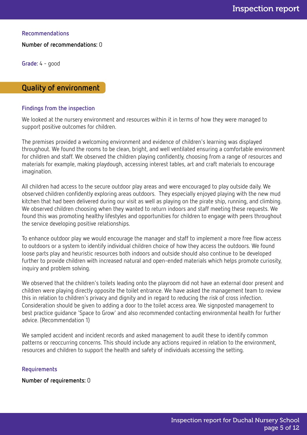**Recommendations**

**Number of recommendations:** 0

**Grade:** 4 - good

## **Quality of environment**

#### **Findings from the inspection**

We looked at the nursery environment and resources within it in terms of how they were managed to support positive outcomes for children.

The premises provided a welcoming environment and evidence of children's learning was displayed throughout. We found the rooms to be clean, bright, and well ventilated ensuring a comfortable environment for children and staff. We observed the children playing confidently, choosing from a range of resources and materials for example, making playdough, accessing interest tables, art and craft materials to encourage imagination.

All children had access to the secure outdoor play areas and were encouraged to play outside daily. We observed children confidently exploring areas outdoors. They especially enjoyed playing with the new mud kitchen that had been delivered during our visit as well as playing on the pirate ship, running, and climbing. We observed children choosing when they wanted to return indoors and staff meeting these requests. We found this was promoting healthy lifestyles and opportunities for children to engage with peers throughout the service developing positive relationships.

To enhance outdoor play we would encourage the manager and staff to implement a more free flow access to outdoors or a system to identify individual children choice of how they access the outdoors. We found loose parts play and heuristic resources both indoors and outside should also continue to be developed further to provide children with increased natural and open-ended materials which helps promote curiosity, inquiry and problem solving.

We observed that the children's toilets leading onto the playroom did not have an external door present and children were playing directly opposite the toilet entrance. We have asked the management team to review this in relation to children's privacy and dignity and in regard to reducing the risk of cross infection. Consideration should be given to adding a door to the toilet access area. We signposted management to best practice guidance 'Space to Grow' and also recommended contacting environmental health for further advice. (Recommendation 1)

We sampled accident and incident records and asked management to audit these to identify common patterns or reoccurring concerns. This should include any actions required in relation to the environment, resources and children to support the health and safety of individuals accessing the setting.

#### **Requirements**

**Number of requirements:** 0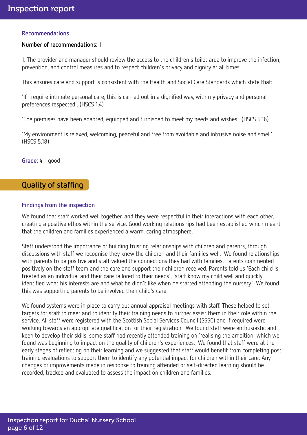#### **Recommendations**

#### **Number of recommendations:** 1

1. The provider and manager should review the access to the children's toilet area to improve the infection, prevention, and control measures and to respect children's privacy and dignity at all times.

This ensures care and support is consistent with the Health and Social Care Standards which state that:

'If I require intimate personal care, this is carried out in a dignified way, with my privacy and personal preferences respected'. (HSCS 1.4)

'The premises have been adapted, equipped and furnished to meet my needs and wishes'. (HSCS 5.16)

'My environment is relaxed, welcoming, peaceful and free from avoidable and intrusive noise and smell'. (HSCS 5.18)

**Grade:** 4 - good

## **Quality of staffing**

#### **Findings from the inspection**

We found that staff worked well together, and they were respectful in their interactions with each other, creating a positive ethos within the service. Good working relationships had been established which meant that the children and families experienced a warm, caring atmosphere.

Staff understood the importance of building trusting relationships with children and parents, through discussions with staff we recognise they knew the children and their families well. We found relationships with parents to be positive and staff valued the connections they had with families. Parents commented positively on the staff team and the care and support their children received. Parents told us 'Each child is treated as an individual and their care tailored to their needs', 'staff know my child well and quickly identified what his interests are and what he didn't like when he started attending the nursery.' We found this was supporting parents to be involved their child's care.

We found systems were in place to carry out annual appraisal meetings with staff. These helped to set targets for staff to meet and to identify their training needs to further assist them in their role within the service. All staff were registered with the Scottish Social Services Council (SSSC) and if required were working towards an appropriate qualification for their registration. We found staff were enthusiastic and keen to develop their skills, some staff had recently attended training on 'realising the ambition' which we found was beginning to impact on the quality of children's experiences. We found that staff were at the early stages of reflecting on their learning and we suggested that staff would benefit from completing post training evaluations to support them to identify any potential impact for children within their care. Any changes or improvements made in response to training attended or self-directed learning should be recorded, tracked and evaluated to assess the impact on children and families.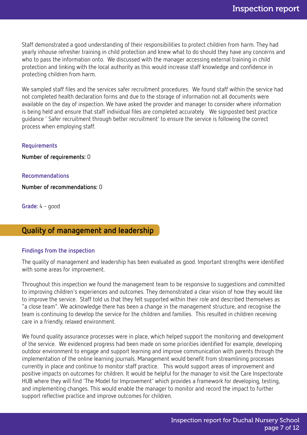Staff demonstrated a good understanding of their responsibilities to protect children from harm. They had yearly inhouse refresher training in child protection and knew what to do should they have any concerns and who to pass the information onto. We discussed with the manager accessing external training in child protection and linking with the local authority as this would increase staff knowledge and confidence in protecting children from harm.

We sampled staff files and the services safer recruitment procedures. We found staff within the service had not completed health declaration forms and due to the storage of information not all documents were available on the day of inspection. We have asked the provider and manager to consider where information is being held and ensure that staff individual files are completed accurately. We signposted best practice guidance ' Safer recruitment through better recruitment' to ensure the service is following the correct process when employing staff.

#### **Requirements**

**Number of requirements:** 0

#### **Recommendations**

**Number of recommendations:** 0

**Grade:** 4 - good

## **Quality of management and leadership**

#### **Findings from the inspection**

The quality of management and leadership has been evaluated as good. Important strengths were identified with some areas for improvement.

Throughout this inspection we found the management team to be responsive to suggestions and committed to improving children's experiences and outcomes. They demonstrated a clear vision of how they would like to improve the service. Staff told us that they felt supported within their role and described themselves as "a close team". We acknowledge there has been a change in the management structure, and recognise the team is continuing to develop the service for the children and families. This resulted in children receiving care in a friendly, relaxed environment.

We found quality assurance processes were in place, which helped support the monitoring and development of the service. We evidenced progress had been made on some priorities identified for example, developing outdoor environment to engage and support learning and improve communication with parents through the implementation of the online learning journals. Management would benefit from streamlining processes currently in place and continue to monitor staff practice. This would support areas of improvement and positive impacts on outcomes for children. It would be helpful for the manager to visit the Care Inspectorate HUB where they will find 'The Model for Improvement' which provides a framework for developing, testing, and implementing changes. This would enable the manager to monitor and record the impact to further support reflective practice and improve outcomes for children.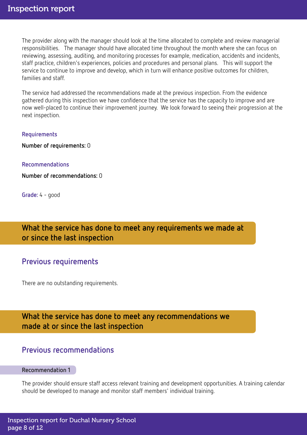The provider along with the manager should look at the time allocated to complete and review managerial responsibilities. The manager should have allocated time throughout the month where she can focus on reviewing, assessing, auditing, and monitoring processes for example, medication, accidents and incidents, staff practice, children's experiences, policies and procedures and personal plans. This will support the service to continue to improve and develop, which in turn will enhance positive outcomes for children, families and staff.

The service had addressed the recommendations made at the previous inspection. From the evidence gathered during this inspection we have confidence that the service has the capacity to improve and are now well-placed to continue their improvement journey. We look forward to seeing their progression at the next inspection.

#### **Requirements**

**Number of requirements:** 0

#### **Recommendations**

**Number of recommendations:** 0

**Grade:** 4 - good

**What the service has done to meet any requirements we made at or since the last inspection**

## **Previous requirements**

There are no outstanding requirements.

**What the service has done to meet any recommendations we made at or since the last inspection**

## **Previous recommendations**

#### **Recommendation 1**

The provider should ensure staff access relevant training and development opportunities. A training calendar should be developed to manage and monitor staff members' individual training.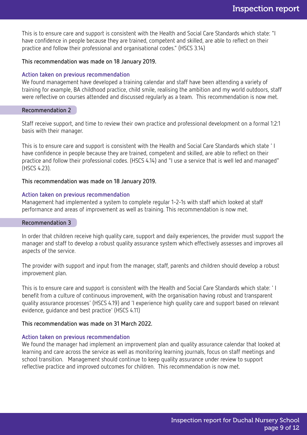This is to ensure care and support is consistent with the Health and Social Care Standards which state: "I have confidence in people because they are trained, competent and skilled, are able to reflect on their practice and follow their professional and organisational codes." (HSCS 3.14)

#### **This recommendation was made on 18 January 2019.**

#### **Action taken on previous recommendation**

We found management have developed a training calendar and staff have been attending a variety of training for example, BA childhood practice, child smile, realising the ambition and my world outdoors, staff were reflective on courses attended and discussed regularly as a team. This recommendation is now met.

#### **Recommendation 2**

Staff receive support, and time to review their own practice and professional development on a formal 1:2:1 basis with their manager.

This is to ensure care and support is consistent with the Health and Social Care Standards which state ' I have confidence in people because they are trained, competent and skilled, are able to reflect on their practice and follow their professional codes. (HSCS 4.14) and "I use a service that is well led and managed" (HSCS 4.23).

#### **This recommendation was made on 18 January 2019.**

#### **Action taken on previous recommendation**

Management had implemented a system to complete regular 1-2-1s with staff which looked at staff performance and areas of improvement as well as training. This recommendation is now met.

#### **Recommendation 3**

In order that children receive high quality care, support and daily experiences, the provider must support the manager and staff to develop a robust quality assurance system which effectively assesses and improves all aspects of the service.

The provider with support and input from the manager, staff, parents and children should develop a robust improvement plan.

This is to ensure care and support is consistent with the Health and Social Care Standards which state: ' I benefit from a culture of continuous improvement, with the organisation having robust and transparent quality assurance processes' (HSCS 4.19) and 'I experience high quality care and support based on relevant evidence, guidance and best practice' (HSCS 4.11)

#### **This recommendation was made on 31 March 2022.**

#### **Action taken on previous recommendation**

We found the manager had implement an improvement plan and quality assurance calendar that looked at learning and care across the service as well as monitoring learning journals, focus on staff meetings and school transition. Management should continue to keep quality assurance under review to support reflective practice and improved outcomes for children. This recommendation is now met.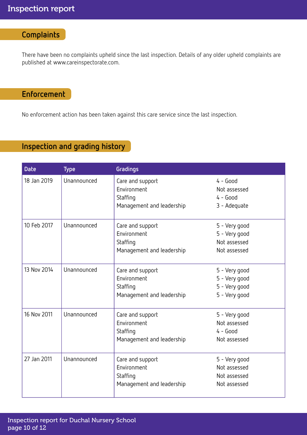# **Complaints**

There have been no complaints upheld since the last inspection. Details of any older upheld complaints are published at www.careinspectorate.com.

# **Enforcement**

No enforcement action has been taken against this care service since the last inspection.

# **Inspection and grading history**

| <b>Date</b> | <b>Type</b> | Gradings                                                                 |                                                                  |
|-------------|-------------|--------------------------------------------------------------------------|------------------------------------------------------------------|
| 18 Jan 2019 | Unannounced | Care and support<br>Environment<br>Staffing<br>Management and leadership | $4 - Good$<br>Not assessed<br>$4 - Good$<br>3 - Adequate         |
| 10 Feb 2017 | Unannounced | Care and support<br>Environment<br>Staffing<br>Management and leadership | 5 - Very good<br>5 - Very good<br>Not assessed<br>Not assessed   |
| 13 Nov 2014 | Unannounced | Care and support<br>Environment<br>Staffing<br>Management and leadership | 5 - Very good<br>5 - Very good<br>5 - Very good<br>5 - Very good |
| 16 Nov 2011 | Unannounced | Care and support<br>Environment<br>Staffing<br>Management and leadership | 5 - Very good<br>Not assessed<br>$4 - Good$<br>Not assessed      |
| 27 Jan 2011 | Unannounced | Care and support<br>Environment<br>Staffing<br>Management and leadership | 5 - Very good<br>Not assessed<br>Not assessed<br>Not assessed    |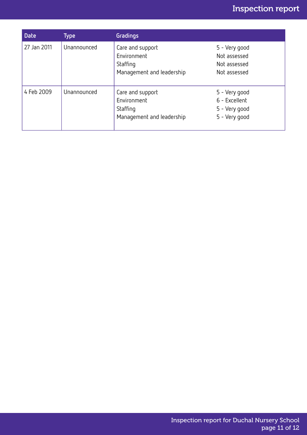# Inspection report

| <b>Date</b> | Type        | <b>Gradings</b>                                                          |                                                                  |
|-------------|-------------|--------------------------------------------------------------------------|------------------------------------------------------------------|
| 27 Jan 2011 | Unannounced | Care and support<br>Environment<br>Staffing<br>Management and leadership | 5 - Very good<br>Not assessed<br>Not assessed<br>Not assessed    |
| 4 Feb 2009  | Unannounced | Care and support<br>Environment<br>Staffing<br>Management and leadership | 5 - Very good<br>6 - Excellent<br>5 - Very good<br>5 - Very good |